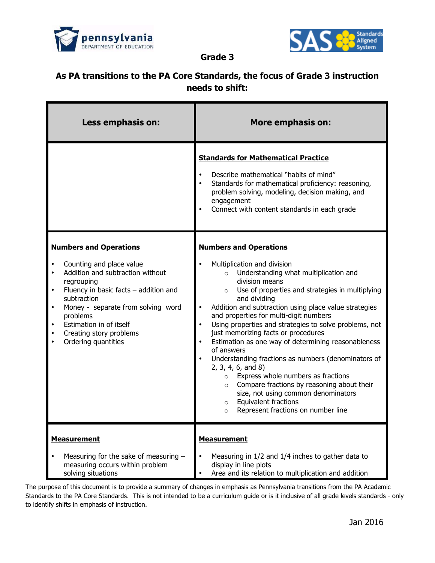



**Grade 3**

## **As PA transitions to the PA Core Standards, the focus of Grade 3 instruction needs to shift:**

| Less emphasis on:                                                                                                                                                                                                                                                                                    | <b>More emphasis on:</b>                                                                                                                                                                                                                                                                                                                                                                                                                                                                                                                                                                                                                                                                                                                                                                               |
|------------------------------------------------------------------------------------------------------------------------------------------------------------------------------------------------------------------------------------------------------------------------------------------------------|--------------------------------------------------------------------------------------------------------------------------------------------------------------------------------------------------------------------------------------------------------------------------------------------------------------------------------------------------------------------------------------------------------------------------------------------------------------------------------------------------------------------------------------------------------------------------------------------------------------------------------------------------------------------------------------------------------------------------------------------------------------------------------------------------------|
|                                                                                                                                                                                                                                                                                                      | <b>Standards for Mathematical Practice</b><br>Describe mathematical "habits of mind"<br>Standards for mathematical proficiency: reasoning,<br>problem solving, modeling, decision making, and<br>engagement<br>Connect with content standards in each grade                                                                                                                                                                                                                                                                                                                                                                                                                                                                                                                                            |
| <b>Numbers and Operations</b><br>Counting and place value<br>Addition and subtraction without<br>regrouping<br>Fluency in basic facts $-$ addition and<br>subtraction<br>Money - separate from solving word<br>problems<br>Estimation in of itself<br>Creating story problems<br>Ordering quantities | <b>Numbers and Operations</b><br>Multiplication and division<br>Understanding what multiplication and<br>division means<br>Use of properties and strategies in multiplying<br>$\circ$<br>and dividing<br>Addition and subtraction using place value strategies<br>and properties for multi-digit numbers<br>Using properties and strategies to solve problems, not<br>just memorizing facts or procedures<br>Estimation as one way of determining reasonableness<br>of answers<br>Understanding fractions as numbers (denominators of<br>2, 3, 4, 6, and 8<br>Express whole numbers as fractions<br>$\circ$<br>Compare fractions by reasoning about their<br>$\circ$<br>size, not using common denominators<br><b>Equivalent fractions</b><br>$\circ$<br>Represent fractions on number line<br>$\circ$ |
| <b>Measurement</b><br>Measuring for the sake of measuring -<br>measuring occurs within problem<br>solving situations                                                                                                                                                                                 | <b>Measurement</b><br>Measuring in 1/2 and 1/4 inches to gather data to<br>display in line plots<br>Area and its relation to multiplication and addition                                                                                                                                                                                                                                                                                                                                                                                                                                                                                                                                                                                                                                               |

The purpose of this document is to provide a summary of changes in emphasis as Pennsylvania transitions from the PA Academic Standards to the PA Core Standards. This is not intended to be a curriculum guide or is it inclusive of all grade levels standards - only to identify shifts in emphasis of instruction.